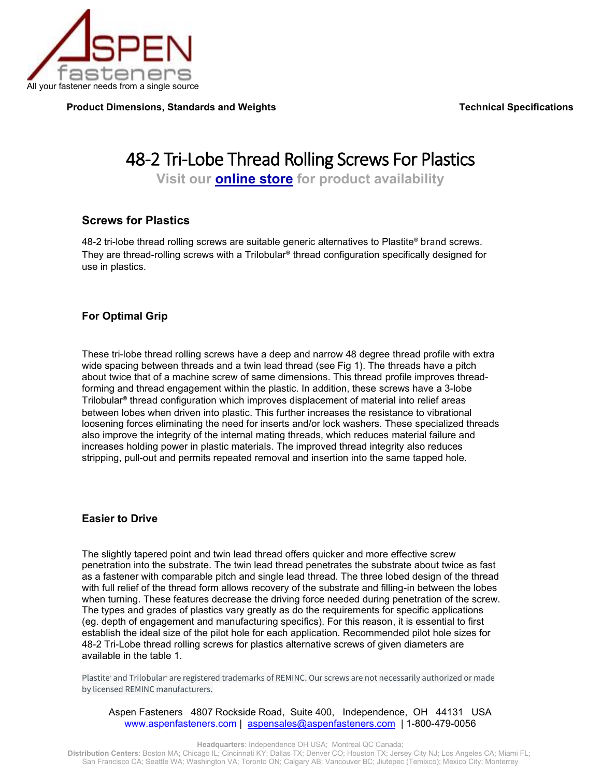

**Product Dimensions, Standards and Weights Medical Specifications of the Specifications of Technical Specifications** 

# 48-2 Tri-Lobe Thread Rolling Screws For Plastics

**Visit our [online store](https://www.aspenfasteners.com/Thread-Rolling-Screws-for-Plastic-s/5647.htm) for product availability**

### **Screws for Plastics**

48-2 tri-lobe thread rolling screws are suitable generic alternatives to Plastite® brand screws. They are thread-rolling screws with a Trilobular® thread configuration specifically designed for use in plastics.

### **For Optimal Grip**

These tri-lobe thread rolling screws have a deep and narrow 48 degree thread profile with extra wide spacing between threads and a twin lead thread (see Fig 1). The threads have a pitch about twice that of a machine screw of same dimensions. This thread profile improves threadforming and thread engagement within the plastic. In addition, these screws have a 3-lobe Trilobular® thread configuration which improves displacement of material into relief areas between lobes when driven into plastic. This further increases the resistance to vibrational loosening forces eliminating the need for inserts and/or lock washers. These specialized threads also improve the integrity of the internal mating threads, which reduces material failure and increases holding power in plastic materials. The improved thread integrity also reduces stripping, pull-out and permits repeated removal and insertion into the same tapped hole.

### **Easier to Drive**

The slightly tapered point and twin lead thread offers quicker and more effective screw penetration into the substrate. The twin lead thread penetrates the substrate about twice as fast as a fastener with comparable pitch and single lead thread. The three lobed design of the thread with full relief of the thread form allows recovery of the substrate and filling-in between the lobes when turning. These features decrease the driving force needed during penetration of the screw. The types and grades of plastics vary greatly as do the requirements for specific applications (eg. depth of engagement and manufacturing specifics). For this reason, it is essential to first establish the ideal size of the pilot hole for each application. Recommended pilot hole sizes for 48-2 Tri-Lobe thread rolling screws for plastics alternative screws of given diameters are available in the table 1.

Plastite' and Trilobular' are registered trademarks of REMINC. Our screws are not necessarily authorized or made by licensed REMINC manufacturers.

Aspen Fasteners 4807 Rockside Road, Suite 400, Independence, OH 44131 USA [www.aspenfasteners.com](http://www.aspenfasteners.com/) | [aspensales@aspenfasteners.com](mailto:aspensales@aspenfasteners.com) | 1-800-479-0056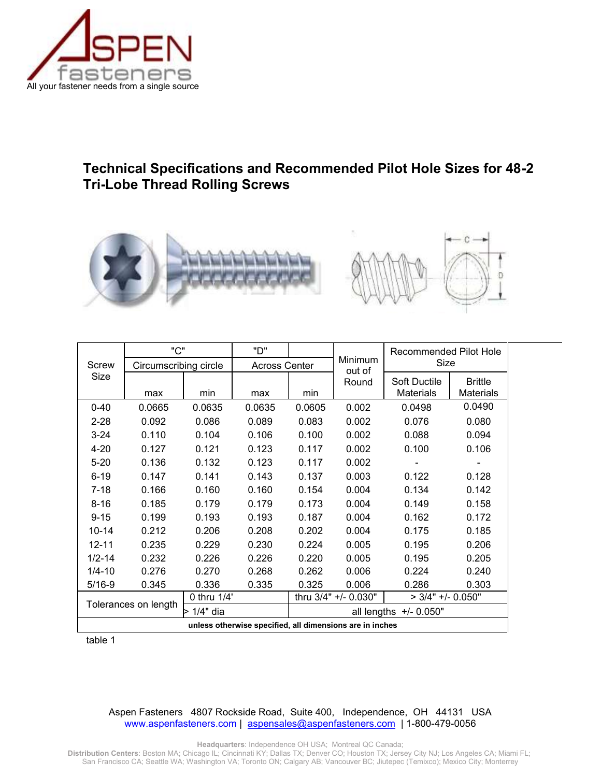

## **Technical Specifications and Recommended Pilot Hole Sizes for 48-2 Tri-Lobe Thread Rolling Screws**



| Screw                                                    | "C"                   |             | "D"                    |                                             | Minimum<br>out of | Recommended Pilot Hole<br>Size |                  |
|----------------------------------------------------------|-----------------------|-------------|------------------------|---------------------------------------------|-------------------|--------------------------------|------------------|
|                                                          | Circumscribing circle |             | <b>Across Center</b>   |                                             |                   |                                |                  |
| Size                                                     |                       |             |                        |                                             | Round             | Soft Ductile                   | <b>Brittle</b>   |
|                                                          | max                   | min         | max                    | min                                         |                   | <b>Materials</b>               | <b>Materials</b> |
| $0 - 40$                                                 | 0.0665                | 0.0635      | 0.0635                 | 0.0605                                      | 0.002             | 0.0498                         | 0.0490           |
| $2 - 28$                                                 | 0.092                 | 0.086       | 0.089                  | 0.083                                       | 0.002             | 0.076                          | 0.080            |
| $3 - 24$                                                 | 0.110                 | 0.104       | 0.106                  | 0.100                                       | 0.002             | 0.088                          | 0.094            |
| $4 - 20$                                                 | 0.127                 | 0.121       | 0.123                  | 0.117                                       | 0.002             | 0.100                          | 0.106            |
| $5 - 20$                                                 | 0.136                 | 0.132       | 0.123                  | 0.117                                       | 0.002             |                                |                  |
| $6 - 19$                                                 | 0.147                 | 0.141       | 0.143                  | 0.137                                       | 0.003             | 0.122                          | 0.128            |
| $7 - 18$                                                 | 0.166                 | 0.160       | 0.160                  | 0.154                                       | 0.004             | 0.134                          | 0.142            |
| $8 - 16$                                                 | 0.185                 | 0.179       | 0.179                  | 0.173                                       | 0.004             | 0.149                          | 0.158            |
| $9 - 15$                                                 | 0.199                 | 0.193       | 0.193                  | 0.187                                       | 0.004             | 0.162                          | 0.172            |
| $10 - 14$                                                | 0.212                 | 0.206       | 0.208                  | 0.202                                       | 0.004             | 0.175                          | 0.185            |
| $12 - 11$                                                | 0.235                 | 0.229       | 0.230                  | 0.224                                       | 0.005             | 0.195                          | 0.206            |
| $1/2 - 14$                                               | 0.232                 | 0.226       | 0.226                  | 0.220                                       | 0.005             | 0.195                          | 0.205            |
| $1/4 - 10$                                               | 0.276                 | 0.270       | 0.268                  | 0.262                                       | 0.006             | 0.224                          | 0.240            |
| $5/16 - 9$                                               | 0.345                 | 0.336       | 0.335                  | 0.325                                       | 0.006             | 0.286                          | 0.303            |
| Tolerances on length                                     |                       | 0 thru 1/4' |                        | thru 3/4" +/- 0.030"<br>$>$ 3/4" +/- 0.050" |                   |                                |                  |
|                                                          |                       | > 1/4" dia  | all lengths +/- 0.050" |                                             |                   |                                |                  |
| unless otherwise specified, all dimensions are in inches |                       |             |                        |                                             |                   |                                |                  |

table 1

### Aspen Fasteners 4807 Rockside Road, Suite 400, Independence, OH 44131 USA [www.aspenfasteners.com](http://www.aspenfasteners.com/) | [aspensales@aspenfasteners.com](mailto:aspensales@aspenfasteners.com) | 1-800-479-0056

**Headquarters**: Independence OH USA; Montreal QC Canada;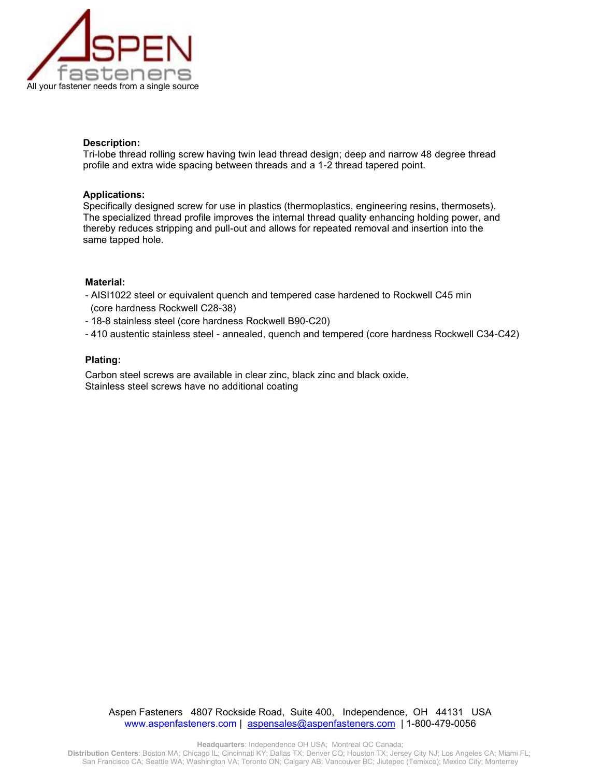

#### **Description:**

Tri-lobe thread rolling screw having twin lead thread design; deep and narrow 48 degree thread profile and extra wide spacing between threads and a 1-2 thread tapered point.

#### **Applications:**

Specifically designed screw for use in plastics (thermoplastics, engineering resins, thermosets). The specialized thread profile improves the internal thread quality enhancing holding power, and thereby reduces stripping and pull-out and allows for repeated removal and insertion into the same tapped hole.

#### **Material:**

- AISI1022 steel or equivalent quench and tempered case hardened to Rockwell C45 min (core hardness Rockwell C28-38)
- 18-8 stainless steel (core hardness Rockwell B90-C20)
- 410 austentic stainless steel annealed, quench and tempered (core hardness Rockwell C34-C42)

#### **Plating:**

Carbon steel screws are available in clear zinc, black zinc and black oxide. Stainless steel screws have no additional coating

Aspen Fasteners 4807 Rockside Road, Suite 400, Independence, OH 44131 USA [www.aspenfasteners.com](http://www.aspenfasteners.com/) | [aspensales@aspenfasteners.com](mailto:aspensales@aspenfasteners.com) | 1-800-479-0056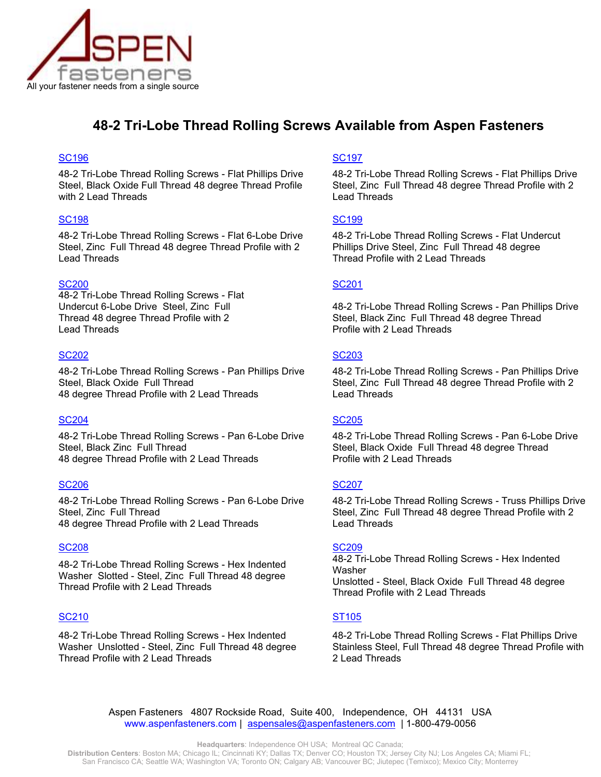

## **48-2 Tri-Lobe Thread Rolling Screws Available from Aspen Fasteners**

### [SC196](http://www.aspenfasteners.com/Trilobular-Thread-Rolling-s/5649.htm) [SC197](http://www.aspenfasteners.com/Trilobular-Thread-Rolling-s/5657.htm) SC197 SC197 SC197 SC197 SC197 SC197 SC197 SC197 SC197 SC197 SC197 SC197 SC197 SC197 SC19

48-2 Tri-Lobe Thread Rolling Screws - Flat Phillips Drive Steel, Black Oxide Full Thread 48 degree Thread Profile with 2 Lead Threads

### [SC198](http://www.aspenfasteners.com/Trilobular-Thread-Rolling-s/5660.htm) [SC199](http://www.aspenfasteners.com/Trilobular-Thread-Rolling-s/5664.htm) SC199 SC199 SC199 SC199 SC199 SC199 SC199 SC199 SC199 SC199 SC199 SC199 SC199 SC199 SC199 SC199 SC

48-2 Tri-Lobe Thread Rolling Screws - Flat 6-Lobe Drive Steel, Zinc Full Thread 48 degree Thread Profile with 2 Lead Threads

### [SC200](http://www.aspenfasteners.com/Trilobular-Thread-Rolling-s/5669.htm) SC200 [SC201](http://www.aspenfasteners.com/Trilobular-Thread-Rolling-s/5673.htm) SC201 SC201 SC201 SC201 SC201 SC201

48-2 Tri-Lobe Thread Rolling Screws - Flat Undercut 6-Lobe Drive Steel, Zinc Full Thread 48 degree Thread Profile with 2 Lead Threads

### [SC202](http://www.aspenfasteners.com/Trilobular-Thread-Rolling-s/5678.htm) SC202 SC202 SC202 SC202 SC202 SC202 SC202 SC202 [SC203](http://www.aspenfasteners.com/Trilobular-Thread-Rolling-s/5681.htm)

48-2 Tri-Lobe Thread Rolling Screws - Pan Phillips Drive Steel, Black Oxide Full Thread [48 degree Thread Profile with 2 Lead Threads](http://www.aspenfasteners.com/Plastite-Alternative-Screws-Flat-Phillips-Drive-Steel-Black-s/697.htm)

### [SC204](http://www.aspenfasteners.com/Trilobular-Thread-Rolling-s/5684.htm) [SC205](http://www.aspenfasteners.com/Trilobular-Thread-Rolling-s/5689.htm)

48-2 Tri-Lobe Thread Rolling Screws - Pan 6-Lobe Drive Steel, Black Zinc Full Thread [48 degree Thread Profile with 2 Lead Threads](http://www.aspenfasteners.com/Deck-Screws-Bugle-Phillips-Drive-s/434.htm)

### [SC206](http://www.aspenfasteners.com/Trilobular-Thread-Rolling-s/5692.htm) [SC207](https://www.aspenfasteners.com/Thread-Rolling-Screws-for-Plastic-Truss-Phillips-Zinc-s/5697.htm) SC207 SC207 SC207 SC207 SC207 SC207 SC207 SC207

48-2 Tri-Lobe Thread Rolling Screws - Pan 6-Lobe Drive Steel, Zinc Full Thread 48 degree Thread Profile with 2 Lead Threads

### [SC208](http://www.aspenfasteners.com/Trilobular-Thread-Rolling-s/5698.htm) [SC209](http://www.aspenfasteners.com/Trilobular-Thread-Rolling-s/5702.htm)

48-2 Tri-Lobe Thread Rolling Screws - Hex Indented Washer Slotted - Steel, Zinc Full Thread 48 degree Thread Profile with 2 Lead Threads

### [SC210](http://www.aspenfasteners.com/Trilobular-Thread-Rolling-s/5707.htm) SC210 [ST105](http://www.aspenfasteners.com/Trilobular-Thread-Rolling-s/7730.htm)

48-2 Tri-Lobe Thread Rolling Screws - Hex Indented Washer Unslotted - Steel, Zinc Full Thread 48 degree Thread Profile with 2 Lead Threads

48-2 Tri-Lobe Thread Rolling Screws - Flat Phillips Drive Steel, Zinc Full Thread 48 degree Thread Profile with 2 Lead Threads

48-2 Tri-Lobe Thread Rolling Screws - Flat Undercut Phillips Drive Steel, Zinc Full Thread 48 degree Thread Profile with 2 Lead Threads

48-2 Tri-Lobe Thread Rolling Screws - Pan Phillips Drive Steel, Black Zinc Full Thread 48 degree Thread Profile with 2 Lead Threads

48-2 Tri-Lobe Thread Rolling Screws - Pan Phillips Drive Steel, Zinc Full Thread 48 degree Thread Profile with 2 Lead Threads

48-2 Tri-Lobe Thread Rolling Screws - Pan 6-Lobe Drive Steel, Black Oxide Full Thread 48 degree Thread Profile with 2 Lead Threads

48-2 Tri-Lobe Thread Rolling Screws - Truss Phillips Drive Steel, Zinc Full Thread 48 degree Thread Profile with 2 Lead Threads

48-2 Tri-Lobe Thread Rolling Screws - Hex Indented Washer Unslotted - Steel, Black Oxide Full Thread 48 degree Thread Profile with 2 Lead Threads

48-2 Tri-Lobe Thread Rolling Screws - Flat Phillips Drive Stainless Steel, Full Thread 48 degree Thread Profile with 2 Lead Threads

Aspen Fasteners 4807 Rockside Road, Suite 400, Independence, OH 44131 USA [www.aspenfasteners.com](http://www.aspenfasteners.com/) | [aspensales@aspenfasteners.com](mailto:aspensales@aspenfasteners.com) | 1-800-479-0056